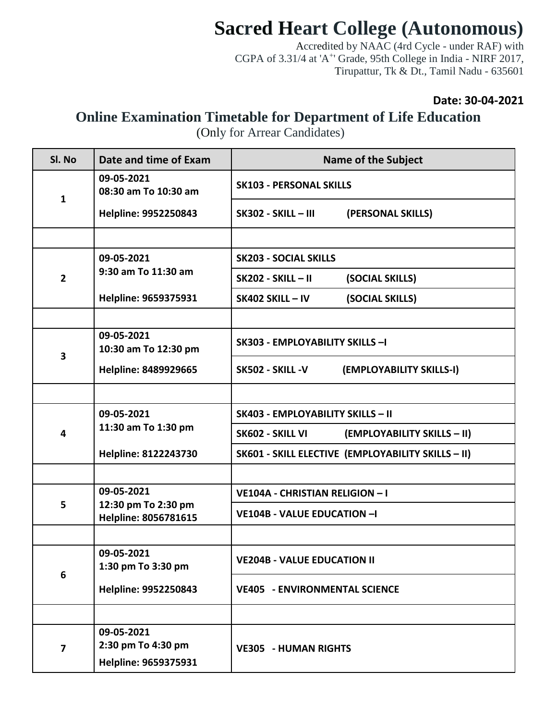## **Sacred Heart College (Autonomous)**

Accredited by NAAC (4rd Cycle - under RAF) with CGPA of 3.31/4 at 'A<sup>+</sup>' Grade, 95th College in India - NIRF 2017, Tirupattur, Tk & Dt., Tamil Nadu - 635601

## **Date: 30-04-2021**

## **Online Examination Timetable for Department of Life Education**

(Only for Arrear Candidates)

| Sl. No                  | Date and time of Exam                       | <b>Name of the Subject</b>                         |  |  |
|-------------------------|---------------------------------------------|----------------------------------------------------|--|--|
| $\mathbf{1}$            | 09-05-2021<br>08:30 am To 10:30 am          | <b>SK103 - PERSONAL SKILLS</b>                     |  |  |
|                         | Helpline: 9952250843                        | <b>SK302 - SKILL - III</b><br>(PERSONAL SKILLS)    |  |  |
|                         |                                             |                                                    |  |  |
|                         | 09-05-2021                                  | <b>SK203 - SOCIAL SKILLS</b>                       |  |  |
| $\overline{2}$          | 9:30 am To 11:30 am                         | <b>SK202 - SKILL - II</b><br>(SOCIAL SKILLS)       |  |  |
|                         | Helpline: 9659375931                        | SK402 SKILL - IV<br>(SOCIAL SKILLS)                |  |  |
|                         |                                             |                                                    |  |  |
| $\overline{\mathbf{3}}$ | 09-05-2021<br>10:30 am To 12:30 pm          | SK303 - EMPLOYABILITY SKILLS -I                    |  |  |
|                         | Helpline: 8489929665                        | (EMPLOYABILITY SKILLS-I)<br>SK502 - SKILL -V       |  |  |
|                         |                                             |                                                    |  |  |
|                         | 09-05-2021                                  | <b>SK403 - EMPLOYABILITY SKILLS - II</b>           |  |  |
| $\overline{\mathbf{4}}$ | 11:30 am To 1:30 pm                         | (EMPLOYABILITY SKILLS - II)<br>SK602 - SKILL VI    |  |  |
|                         | Helpline: 8122243730                        | SK601 - SKILL ELECTIVE (EMPLOYABILITY SKILLS - II) |  |  |
|                         |                                             |                                                    |  |  |
|                         | 09-05-2021                                  | VE104A - CHRISTIAN RELIGION - I                    |  |  |
| 5                       | 12:30 pm To 2:30 pm<br>Helpline: 8056781615 | <b>VE104B - VALUE EDUCATION -I</b>                 |  |  |
|                         |                                             |                                                    |  |  |
| 6                       | 09-05-2021<br>1:30 pm To 3:30 pm            | <b>VE204B - VALUE EDUCATION II</b>                 |  |  |
|                         | Helpline: 9952250843                        | <b>VE405 - ENVIRONMENTAL SCIENCE</b>               |  |  |
|                         |                                             |                                                    |  |  |
|                         | 09-05-2021                                  |                                                    |  |  |
| $\overline{\mathbf{z}}$ | 2:30 pm To 4:30 pm<br>Helpline: 9659375931  | <b>VE305 - HUMAN RIGHTS</b>                        |  |  |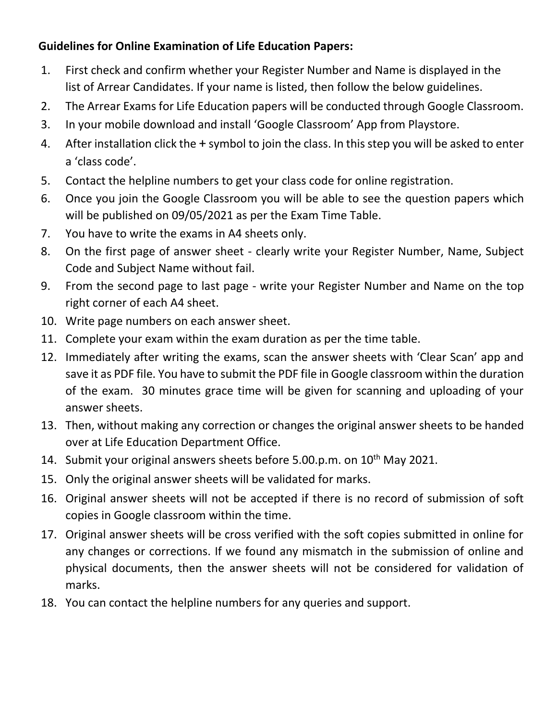## **Guidelines for Online Examination of Life Education Papers:**

- 1. First check and confirm whether your Register Number and Name is displayed in the list of Arrear Candidates. If your name is listed, then follow the below guidelines.
- 2. The Arrear Exams for Life Education papers will be conducted through Google Classroom.
- 3. In your mobile download and install 'Google Classroom' App from Playstore.
- 4. After installation click the + symbol to join the class. In this step you will be asked to enter a 'class code'.
- 5. Contact the helpline numbers to get your class code for online registration.
- 6. Once you join the Google Classroom you will be able to see the question papers which will be published on 09/05/2021 as per the Exam Time Table.
- 7. You have to write the exams in A4 sheets only.
- 8. On the first page of answer sheet clearly write your Register Number, Name, Subject Code and Subject Name without fail.
- 9. From the second page to last page write your Register Number and Name on the top right corner of each A4 sheet.
- 10. Write page numbers on each answer sheet.
- 11. Complete your exam within the exam duration as per the time table.
- 12. Immediately after writing the exams, scan the answer sheets with 'Clear Scan' app and save it as PDF file. You have to submit the PDF file in Google classroom within the duration of the exam. 30 minutes grace time will be given for scanning and uploading of your answer sheets.
- 13. Then, without making any correction or changes the original answer sheets to be handed over at Life Education Department Office.
- 14. Submit your original answers sheets before 5.00.p.m. on 10<sup>th</sup> May 2021.
- 15. Only the original answer sheets will be validated for marks.
- 16. Original answer sheets will not be accepted if there is no record of submission of soft copies in Google classroom within the time.
- 17. Original answer sheets will be cross verified with the soft copies submitted in online for any changes or corrections. If we found any mismatch in the submission of online and physical documents, then the answer sheets will not be considered for validation of marks.
- 18. You can contact the helpline numbers for any queries and support.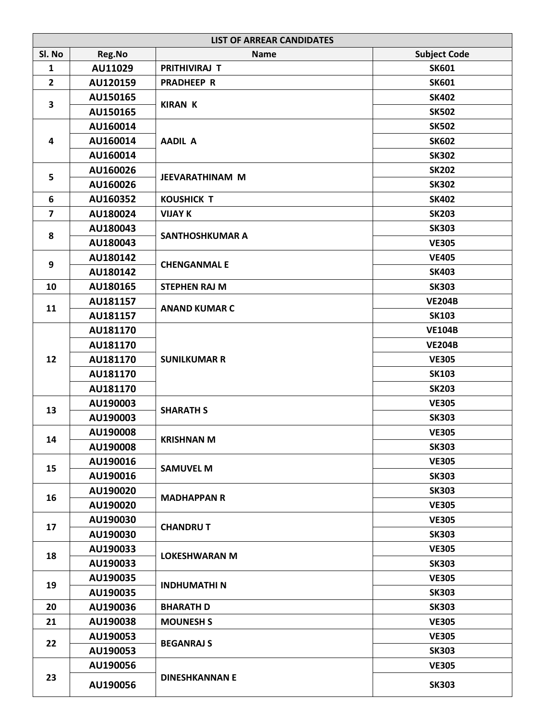|                         | <b>LIST OF ARREAR CANDIDATES</b> |                        |                     |  |
|-------------------------|----------------------------------|------------------------|---------------------|--|
| SI. No                  | Reg.No                           | <b>Name</b>            | <b>Subject Code</b> |  |
| $\mathbf{1}$            | AU11029                          | PRITHIVIRAJ T          | <b>SK601</b>        |  |
| $\mathbf{2}$            | AU120159                         | <b>PRADHEEP R</b>      | <b>SK601</b>        |  |
| 3                       | AU150165                         | <b>KIRAN K</b>         | <b>SK402</b>        |  |
|                         | AU150165                         |                        | <b>SK502</b>        |  |
|                         | AU160014                         |                        | <b>SK502</b>        |  |
| $\overline{\mathbf{4}}$ | AU160014                         | <b>AADIL A</b>         | <b>SK602</b>        |  |
|                         | AU160014                         |                        | <b>SK302</b>        |  |
| 5                       | AU160026                         | JEEVARATHINAM M        | <b>SK202</b>        |  |
|                         | AU160026                         |                        | <b>SK302</b>        |  |
| 6                       | AU160352                         | <b>KOUSHICK T</b>      | <b>SK402</b>        |  |
| 7                       | AU180024                         | <b>VIJAY K</b>         | <b>SK203</b>        |  |
|                         | AU180043                         |                        | <b>SK303</b>        |  |
| 8                       | AU180043                         | <b>SANTHOSHKUMAR A</b> | <b>VE305</b>        |  |
|                         | AU180142                         |                        | <b>VE405</b>        |  |
| 9                       | AU180142                         | <b>CHENGANMAL E</b>    | <b>SK403</b>        |  |
| 10                      | AU180165                         | <b>STEPHEN RAJ M</b>   | <b>SK303</b>        |  |
|                         | AU181157                         |                        | <b>VE204B</b>       |  |
| 11                      | AU181157                         | <b>ANAND KUMAR C</b>   | <b>SK103</b>        |  |
|                         | AU181170                         |                        | <b>VE104B</b>       |  |
|                         | AU181170                         |                        | <b>VE204B</b>       |  |
| 12                      | AU181170                         | <b>SUNILKUMAR R</b>    | <b>VE305</b>        |  |
|                         | AU181170                         |                        | <b>SK103</b>        |  |
|                         | AU181170                         |                        | <b>SK203</b>        |  |
|                         | AU190003                         | <b>SHARATH S</b>       | <b>VE305</b>        |  |
| 13                      | AU190003                         |                        | <b>SK303</b>        |  |
|                         | AU190008                         | <b>KRISHNAN M</b>      | <b>VE305</b>        |  |
| 14                      | AU190008                         |                        | <b>SK303</b>        |  |
|                         | AU190016                         |                        | <b>VE305</b>        |  |
| 15                      | AU190016                         | <b>SAMUVEL M</b>       | <b>SK303</b>        |  |
|                         | AU190020                         |                        | <b>SK303</b>        |  |
| 16                      | AU190020                         | <b>MADHAPPAN R</b>     | <b>VE305</b>        |  |
|                         | AU190030                         |                        | <b>VE305</b>        |  |
| 17                      | AU190030                         | <b>CHANDRUT</b>        | <b>SK303</b>        |  |
|                         | AU190033                         |                        | <b>VE305</b>        |  |
| 18                      | AU190033                         | <b>LOKESHWARAN M</b>   | <b>SK303</b>        |  |
|                         | AU190035                         |                        | <b>VE305</b>        |  |
| 19                      | AU190035                         | <b>INDHUMATHI N</b>    | <b>SK303</b>        |  |
| 20                      | AU190036                         | <b>BHARATH D</b>       | <b>SK303</b>        |  |
| 21                      | AU190038                         | <b>MOUNESH S</b>       | <b>VE305</b>        |  |
|                         | AU190053                         |                        | <b>VE305</b>        |  |
| 22                      | AU190053                         | <b>BEGANRAJ S</b>      | <b>SK303</b>        |  |
|                         | AU190056                         |                        | <b>VE305</b>        |  |
| 23                      | AU190056                         | <b>DINESHKANNAN E</b>  | <b>SK303</b>        |  |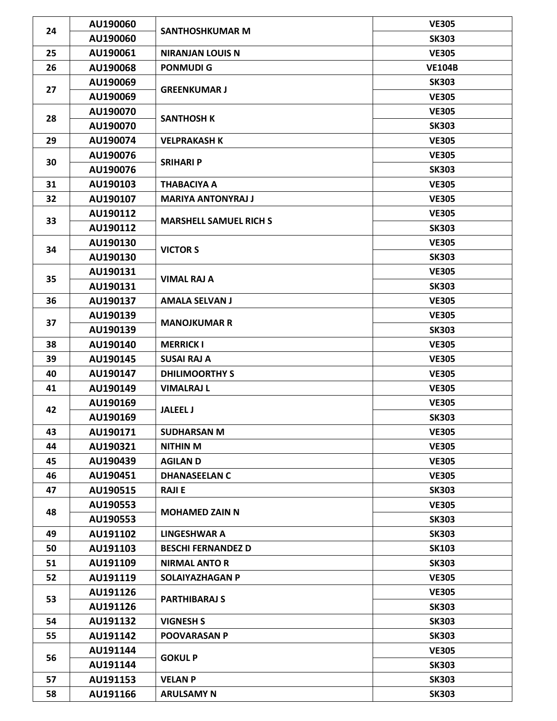| 24 | AU190060 | <b>SANTHOSHKUMAR M</b>        | <b>VE305</b>  |
|----|----------|-------------------------------|---------------|
|    | AU190060 |                               | <b>SK303</b>  |
| 25 | AU190061 | <b>NIRANJAN LOUIS N</b>       | <b>VE305</b>  |
| 26 | AU190068 | <b>PONMUDIG</b>               | <b>VE104B</b> |
| 27 | AU190069 |                               | <b>SK303</b>  |
|    | AU190069 | <b>GREENKUMAR J</b>           | <b>VE305</b>  |
|    | AU190070 |                               | <b>VE305</b>  |
| 28 | AU190070 | <b>SANTHOSH K</b>             | <b>SK303</b>  |
| 29 | AU190074 | <b>VELPRAKASH K</b>           | <b>VE305</b>  |
|    | AU190076 |                               | <b>VE305</b>  |
| 30 | AU190076 | <b>SRIHARI P</b>              | <b>SK303</b>  |
| 31 | AU190103 | <b>THABACIYA A</b>            | <b>VE305</b>  |
| 32 | AU190107 | <b>MARIYA ANTONYRAJ J</b>     | <b>VE305</b>  |
|    | AU190112 |                               | <b>VE305</b>  |
| 33 | AU190112 | <b>MARSHELL SAMUEL RICH S</b> | <b>SK303</b>  |
|    | AU190130 |                               | <b>VE305</b>  |
| 34 | AU190130 | <b>VICTOR S</b>               | <b>SK303</b>  |
|    | AU190131 |                               | <b>VE305</b>  |
| 35 | AU190131 | <b>VIMAL RAJ A</b>            | <b>SK303</b>  |
| 36 | AU190137 | <b>AMALA SELVAN J</b>         | <b>VE305</b>  |
|    | AU190139 |                               | <b>VE305</b>  |
| 37 | AU190139 | <b>MANOJKUMAR R</b>           | <b>SK303</b>  |
| 38 | AU190140 | <b>MERRICK I</b>              | <b>VE305</b>  |
| 39 | AU190145 | <b>SUSAI RAJ A</b>            | <b>VE305</b>  |
| 40 | AU190147 | <b>DHILIMOORTHY S</b>         | <b>VE305</b>  |
| 41 | AU190149 | <b>VIMALRAJ L</b>             | <b>VE305</b>  |
|    | AU190169 |                               | <b>VE305</b>  |
| 42 | AU190169 | <b>JALEEL J</b>               | <b>SK303</b>  |
| 43 | AU190171 | <b>SUDHARSAN M</b>            | <b>VE305</b>  |
| 44 | AU190321 | <b>NITHIN M</b>               | <b>VE305</b>  |
| 45 | AU190439 | <b>AGILAN D</b>               | <b>VE305</b>  |
| 46 | AU190451 | <b>DHANASEELAN C</b>          | <b>VE305</b>  |
| 47 | AU190515 | <b>RAJIE</b>                  | <b>SK303</b>  |
| 48 | AU190553 | <b>MOHAMED ZAIN N</b>         | <b>VE305</b>  |
|    | AU190553 |                               | <b>SK303</b>  |
| 49 | AU191102 | <b>LINGESHWAR A</b>           | <b>SK303</b>  |
| 50 | AU191103 | <b>BESCHI FERNANDEZ D</b>     | <b>SK103</b>  |
| 51 | AU191109 | <b>NIRMAL ANTO R</b>          | <b>SK303</b>  |
| 52 | AU191119 | SOLAIYAZHAGAN P               | <b>VE305</b>  |
| 53 | AU191126 | <b>PARTHIBARAJ S</b>          | <b>VE305</b>  |
|    | AU191126 |                               | <b>SK303</b>  |
| 54 | AU191132 | <b>VIGNESH S</b>              | <b>SK303</b>  |
| 55 | AU191142 | <b>POOVARASAN P</b>           | <b>SK303</b>  |
| 56 | AU191144 | <b>GOKUL P</b>                | <b>VE305</b>  |
|    | AU191144 |                               | <b>SK303</b>  |
| 57 | AU191153 | <b>VELAN P</b>                | <b>SK303</b>  |
| 58 | AU191166 | <b>ARULSAMY N</b>             | <b>SK303</b>  |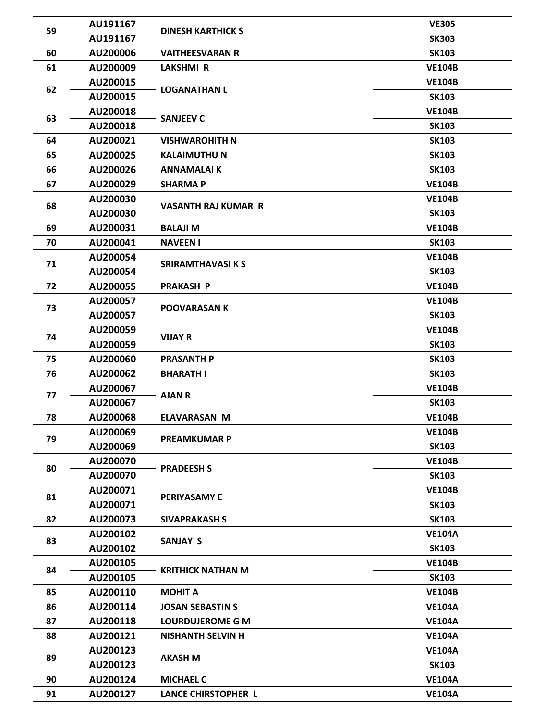| 59 | AU191167 | <b>DINESH KARTHICK S</b>   | <b>VE305</b>  |
|----|----------|----------------------------|---------------|
|    | AU191167 |                            | <b>SK303</b>  |
| 60 | AU200006 | <b>VAITHEESVARAN R</b>     | <b>SK103</b>  |
| 61 | AU200009 | <b>LAKSHMI R</b>           | <b>VE104B</b> |
| 62 | AU200015 |                            | <b>VE104B</b> |
|    | AU200015 | <b>LOGANATHAN L</b>        | <b>SK103</b>  |
|    | AU200018 |                            | <b>VE104B</b> |
| 63 | AU200018 | <b>SANJEEV C</b>           | <b>SK103</b>  |
| 64 | AU200021 | <b>VISHWAROHITH N</b>      | <b>SK103</b>  |
| 65 | AU200025 | <b>KALAIMUTHU N</b>        | <b>SK103</b>  |
| 66 | AU200026 | <b>ANNAMALAIK</b>          | <b>SK103</b>  |
| 67 | AU200029 | <b>SHARMAP</b>             | <b>VE104B</b> |
|    | AU200030 |                            | <b>VE104B</b> |
| 68 | AU200030 | <b>VASANTH RAJ KUMAR R</b> | <b>SK103</b>  |
| 69 | AU200031 | <b>BALAJI M</b>            | <b>VE104B</b> |
| 70 | AU200041 | <b>NAVEEN I</b>            | <b>SK103</b>  |
|    | AU200054 |                            | <b>VE104B</b> |
| 71 | AU200054 | <b>SRIRAMTHAVASI K S</b>   | <b>SK103</b>  |
| 72 | AU200055 | <b>PRAKASH P</b>           | <b>VE104B</b> |
|    | AU200057 |                            | <b>VE104B</b> |
| 73 | AU200057 | <b>POOVARASAN K</b>        | <b>SK103</b>  |
|    | AU200059 | <b>VIJAY R</b>             | <b>VE104B</b> |
| 74 | AU200059 |                            | <b>SK103</b>  |
| 75 | AU200060 | <b>PRASANTH P</b>          | <b>SK103</b>  |
| 76 | AU200062 | <b>BHARATH I</b>           | <b>SK103</b>  |
|    | AU200067 |                            | <b>VE104B</b> |
| 77 | AU200067 | <b>AJAN R</b>              | <b>SK103</b>  |
| 78 | AU200068 | <b>ELAVARASAN M</b>        | <b>VE104B</b> |
|    | AU200069 |                            | <b>VE104B</b> |
| 79 | AU200069 | <b>PREAMKUMAR P</b>        | <b>SK103</b>  |
|    | AU200070 | <b>PRADEESH S</b>          | <b>VE104B</b> |
| 80 | AU200070 |                            | <b>SK103</b>  |
|    | AU200071 |                            | <b>VE104B</b> |
| 81 | AU200071 | <b>PERIYASAMY E</b>        | <b>SK103</b>  |
| 82 | AU200073 | <b>SIVAPRAKASH S</b>       | <b>SK103</b>  |
| 83 | AU200102 | <b>SANJAY S</b>            | <b>VE104A</b> |
|    | AU200102 |                            | <b>SK103</b>  |
| 84 | AU200105 | <b>KRITHICK NATHAN M</b>   | <b>VE104B</b> |
|    | AU200105 |                            | <b>SK103</b>  |
| 85 | AU200110 | <b>MOHIT A</b>             | <b>VE104B</b> |
| 86 | AU200114 | <b>JOSAN SEBASTIN S</b>    | <b>VE104A</b> |
| 87 | AU200118 | <b>LOURDUJEROME G M</b>    | <b>VE104A</b> |
| 88 | AU200121 | <b>NISHANTH SELVIN H</b>   | <b>VE104A</b> |
| 89 | AU200123 | <b>AKASH M</b>             | <b>VE104A</b> |
|    | AU200123 |                            | <b>SK103</b>  |
| 90 | AU200124 | <b>MICHAEL C</b>           | <b>VE104A</b> |
| 91 | AU200127 | <b>LANCE CHIRSTOPHER L</b> | <b>VE104A</b> |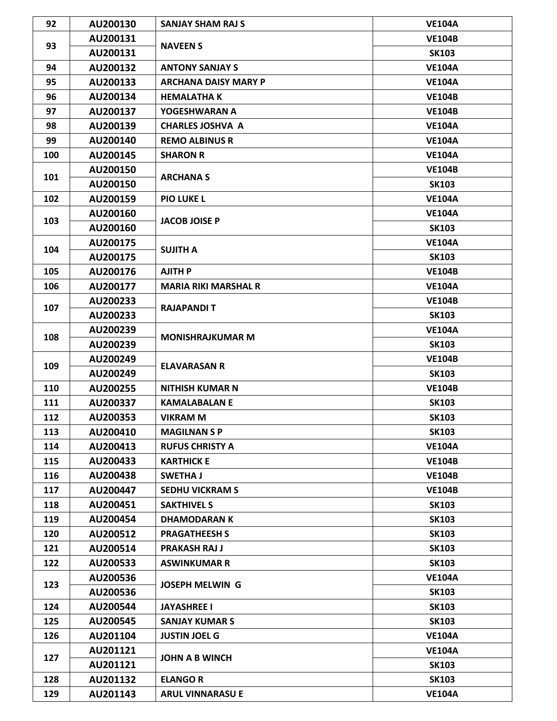| 92  | AU200130 | <b>SANJAY SHAM RAJ S</b>    | <b>VE104A</b> |
|-----|----------|-----------------------------|---------------|
|     | AU200131 | <b>NAVEEN S</b>             | <b>VE104B</b> |
| 93  | AU200131 |                             | <b>SK103</b>  |
| 94  | AU200132 | <b>ANTONY SANJAY S</b>      | <b>VE104A</b> |
| 95  | AU200133 | <b>ARCHANA DAISY MARY P</b> | <b>VE104A</b> |
| 96  | AU200134 | <b>HEMALATHA K</b>          | <b>VE104B</b> |
| 97  | AU200137 | YOGESHWARAN A               | <b>VE104B</b> |
| 98  | AU200139 | <b>CHARLES JOSHVA A</b>     | <b>VE104A</b> |
| 99  | AU200140 | <b>REMO ALBINUS R</b>       | <b>VE104A</b> |
| 100 | AU200145 | <b>SHARON R</b>             | <b>VE104A</b> |
|     | AU200150 |                             | <b>VE104B</b> |
| 101 | AU200150 | <b>ARCHANA S</b>            | <b>SK103</b>  |
| 102 | AU200159 | <b>PIO LUKE L</b>           | <b>VE104A</b> |
|     | AU200160 |                             | <b>VE104A</b> |
| 103 | AU200160 | <b>JACOB JOISE P</b>        | <b>SK103</b>  |
|     | AU200175 |                             | <b>VE104A</b> |
| 104 | AU200175 | <b>SUJITH A</b>             | <b>SK103</b>  |
| 105 | AU200176 | <b>AJITH P</b>              | <b>VE104B</b> |
| 106 | AU200177 | <b>MARIA RIKI MARSHAL R</b> | <b>VE104A</b> |
|     | AU200233 |                             | <b>VE104B</b> |
| 107 | AU200233 | <b>RAJAPANDIT</b>           | <b>SK103</b>  |
|     | AU200239 | <b>MONISHRAJKUMAR M</b>     | <b>VE104A</b> |
| 108 | AU200239 |                             | <b>SK103</b>  |
|     | AU200249 | <b>ELAVARASAN R</b>         | <b>VE104B</b> |
| 109 | AU200249 |                             | <b>SK103</b>  |
| 110 | AU200255 | <b>NITHISH KUMAR N</b>      | <b>VE104B</b> |
| 111 | AU200337 | <b>KAMALABALAN E</b>        | <b>SK103</b>  |
| 112 | AU200353 | <b>VIKRAM M</b>             | <b>SK103</b>  |
| 113 | AU200410 | <b>MAGILNAN S P</b>         | <b>SK103</b>  |
| 114 | AU200413 | <b>RUFUS CHRISTY A</b>      | <b>VE104A</b> |
| 115 | AU200433 | <b>KARTHICK E</b>           | <b>VE104B</b> |
| 116 | AU200438 | <b>SWETHA J</b>             | <b>VE104B</b> |
| 117 | AU200447 | <b>SEDHU VICKRAM S</b>      | <b>VE104B</b> |
| 118 | AU200451 | <b>SAKTHIVEL S</b>          | <b>SK103</b>  |
| 119 | AU200454 | <b>DHAMODARAN K</b>         | <b>SK103</b>  |
| 120 | AU200512 | <b>PRAGATHEESH S</b>        | <b>SK103</b>  |
| 121 | AU200514 | <b>PRAKASH RAJ J</b>        | <b>SK103</b>  |
| 122 | AU200533 | <b>ASWINKUMAR R</b>         | <b>SK103</b>  |
|     | AU200536 |                             | <b>VE104A</b> |
| 123 | AU200536 | <b>JOSEPH MELWIN G</b>      | <b>SK103</b>  |
| 124 | AU200544 | <b>JAYASHREE I</b>          | <b>SK103</b>  |
| 125 | AU200545 | <b>SANJAY KUMAR S</b>       | <b>SK103</b>  |
| 126 | AU201104 | <b>JUSTIN JOEL G</b>        | <b>VE104A</b> |
|     | AU201121 |                             | <b>VE104A</b> |
| 127 | AU201121 | <b>JOHN A B WINCH</b>       | <b>SK103</b>  |
| 128 | AU201132 | <b>ELANGO R</b>             | <b>SK103</b>  |
| 129 | AU201143 | <b>ARUL VINNARASU E</b>     | <b>VE104A</b> |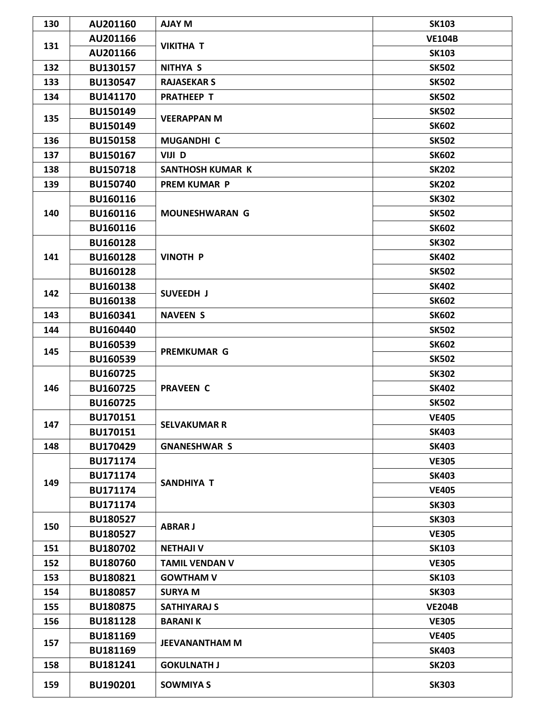| 130 | AU201160        | <b>AJAY M</b>           | <b>SK103</b>  |
|-----|-----------------|-------------------------|---------------|
| 131 | AU201166        | <b>VIKITHA T</b>        | <b>VE104B</b> |
|     | AU201166        |                         | <b>SK103</b>  |
| 132 | BU130157        | <b>NITHYA S</b>         | <b>SK502</b>  |
| 133 | BU130547        | <b>RAJASEKAR S</b>      | <b>SK502</b>  |
| 134 | <b>BU141170</b> | <b>PRATHEEP T</b>       | <b>SK502</b>  |
|     | <b>BU150149</b> |                         | <b>SK502</b>  |
| 135 | <b>BU150149</b> | <b>VEERAPPAN M</b>      | <b>SK602</b>  |
| 136 | <b>BU150158</b> | <b>MUGANDHI C</b>       | <b>SK502</b>  |
| 137 | <b>BU150167</b> | VIJI D                  | <b>SK602</b>  |
| 138 | <b>BU150718</b> | <b>SANTHOSH KUMAR K</b> | <b>SK202</b>  |
| 139 | <b>BU150740</b> | <b>PREM KUMAR P</b>     | <b>SK202</b>  |
|     | BU160116        |                         | <b>SK302</b>  |
| 140 | BU160116        | <b>MOUNESHWARAN G</b>   | <b>SK502</b>  |
|     | BU160116        |                         | <b>SK602</b>  |
|     | <b>BU160128</b> |                         | <b>SK302</b>  |
| 141 | BU160128        | <b>VINOTH P</b>         | <b>SK402</b>  |
|     | <b>BU160128</b> |                         | <b>SK502</b>  |
|     | <b>BU160138</b> |                         | <b>SK402</b>  |
| 142 | <b>BU160138</b> | SUVEEDH J               | <b>SK602</b>  |
| 143 | BU160341        | <b>NAVEEN S</b>         | <b>SK602</b>  |
| 144 | <b>BU160440</b> |                         | <b>SK502</b>  |
|     | <b>BU160539</b> | <b>PREMKUMAR G</b>      | <b>SK602</b>  |
| 145 | <b>BU160539</b> |                         | <b>SK502</b>  |
| 146 | <b>BU160725</b> | <b>PRAVEEN C</b>        | <b>SK302</b>  |
|     | BU160725        |                         | <b>SK402</b>  |
|     | <b>BU160725</b> |                         | <b>SK502</b>  |
|     | BU170151        | <b>SELVAKUMAR R</b>     | <b>VE405</b>  |
| 147 | BU170151        |                         | <b>SK403</b>  |
| 148 | <b>BU170429</b> | <b>GNANESHWAR S</b>     | <b>SK403</b>  |
|     | <b>BU171174</b> |                         | <b>VE305</b>  |
|     | <b>BU171174</b> |                         | <b>SK403</b>  |
| 149 | <b>BU171174</b> | <b>SANDHIYA T</b>       | <b>VE405</b>  |
|     | <b>BU171174</b> |                         | <b>SK303</b>  |
|     | <b>BU180527</b> |                         | <b>SK303</b>  |
| 150 | <b>BU180527</b> | <b>ABRAR J</b>          | <b>VE305</b>  |
| 151 | <b>BU180702</b> | <b>NETHAJI V</b>        | <b>SK103</b>  |
| 152 | <b>BU180760</b> | <b>TAMIL VENDAN V</b>   | <b>VE305</b>  |
| 153 | BU180821        | <b>GOWTHAM V</b>        | <b>SK103</b>  |
| 154 | <b>BU180857</b> | <b>SURYA M</b>          | <b>SK303</b>  |
| 155 | <b>BU180875</b> | <b>SATHIYARAJ S</b>     | <b>VE204B</b> |
| 156 | <b>BU181128</b> | <b>BARANIK</b>          | <b>VE305</b>  |
| 157 | <b>BU181169</b> | <b>JEEVANANTHAM M</b>   | <b>VE405</b>  |
|     | <b>BU181169</b> |                         | <b>SK403</b>  |
| 158 | BU181241        | <b>GOKULNATH J</b>      | <b>SK203</b>  |
| 159 | BU190201        | <b>SOWMIYA S</b>        | <b>SK303</b>  |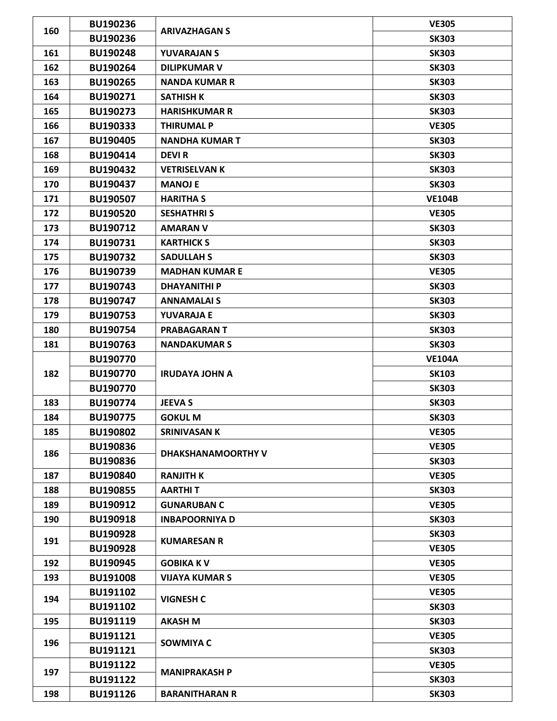| 160 | <b>BU190236</b> | <b>ARIVAZHAGAN S</b>  | <b>VE305</b>  |
|-----|-----------------|-----------------------|---------------|
|     | <b>BU190236</b> |                       | <b>SK303</b>  |
| 161 | <b>BU190248</b> | <b>YUVARAJAN S</b>    | <b>SK303</b>  |
| 162 | <b>BU190264</b> | <b>DILIPKUMAR V</b>   | <b>SK303</b>  |
| 163 | BU190265        | <b>NANDA KUMAR R</b>  | <b>SK303</b>  |
| 164 | BU190271        | <b>SATHISH K</b>      | <b>SK303</b>  |
| 165 | BU190273        | <b>HARISHKUMAR R</b>  | <b>SK303</b>  |
| 166 | BU190333        | <b>THIRUMAL P</b>     | <b>VE305</b>  |
| 167 | <b>BU190405</b> | <b>NANDHA KUMAR T</b> | <b>SK303</b>  |
| 168 | BU190414        | <b>DEVIR</b>          | <b>SK303</b>  |
| 169 | BU190432        | <b>VETRISELVAN K</b>  | <b>SK303</b>  |
| 170 | BU190437        | <b>MANOJ E</b>        | <b>SK303</b>  |
| 171 | <b>BU190507</b> | <b>HARITHA S</b>      | <b>VE104B</b> |
| 172 | <b>BU190520</b> | <b>SESHATHRI S</b>    | <b>VE305</b>  |
| 173 | BU190712        | <b>AMARAN V</b>       | <b>SK303</b>  |
| 174 | BU190731        | <b>KARTHICK S</b>     | <b>SK303</b>  |
| 175 | BU190732        | <b>SADULLAH S</b>     | <b>SK303</b>  |
| 176 | BU190739        | <b>MADHAN KUMAR E</b> | <b>VE305</b>  |
| 177 | <b>BU190743</b> | <b>DHAYANITHI P</b>   | <b>SK303</b>  |
| 178 | <b>BU190747</b> | <b>ANNAMALAI S</b>    | <b>SK303</b>  |
| 179 | <b>BU190753</b> | <b>YUVARAJA E</b>     | <b>SK303</b>  |
| 180 | <b>BU190754</b> | <b>PRABAGARANT</b>    | <b>SK303</b>  |
| 181 | <b>BU190763</b> | <b>NANDAKUMAR S</b>   | <b>SK303</b>  |
|     | <b>BU190770</b> |                       | <b>VE104A</b> |
| 182 | <b>BU190770</b> | <b>IRUDAYA JOHN A</b> | <b>SK103</b>  |
|     | <b>BU190770</b> |                       | <b>SK303</b>  |
| 183 | <b>BU190774</b> | <b>JEEVA S</b>        | <b>SK303</b>  |
| 184 | <b>BU190775</b> | <b>GOKUL M</b>        | <b>SK303</b>  |
| 185 | <b>BU190802</b> | <b>SRINIVASAN K</b>   | <b>VE305</b>  |
| 186 | <b>BU190836</b> | DHAKSHANAMOORTHY V    | <b>VE305</b>  |
|     | <b>BU190836</b> |                       | <b>SK303</b>  |
| 187 | <b>BU190840</b> | <b>RANJITH K</b>      | <b>VE305</b>  |
| 188 | <b>BU190855</b> | <b>AARTHIT</b>        | <b>SK303</b>  |
| 189 | BU190912        | <b>GUNARUBAN C</b>    | <b>VE305</b>  |
| 190 | <b>BU190918</b> | <b>INBAPOORNIYA D</b> | <b>SK303</b>  |
| 191 | <b>BU190928</b> | <b>KUMARESAN R</b>    | <b>SK303</b>  |
|     | <b>BU190928</b> |                       | <b>VE305</b>  |
| 192 | <b>BU190945</b> | <b>GOBIKA KV</b>      | <b>VE305</b>  |
| 193 | <b>BU191008</b> | <b>VIJAYA KUMAR S</b> | <b>VE305</b>  |
| 194 | BU191102        | <b>VIGNESH C</b>      | <b>VE305</b>  |
|     | BU191102        |                       | <b>SK303</b>  |
| 195 | BU191119        | <b>AKASH M</b>        | <b>SK303</b>  |
| 196 | BU191121        | <b>SOWMIYA C</b>      | <b>VE305</b>  |
|     | BU191121        |                       | <b>SK303</b>  |
| 197 | BU191122        | <b>MANIPRAKASH P</b>  | <b>VE305</b>  |
|     | BU191122        |                       | <b>SK303</b>  |
| 198 | <b>BU191126</b> | <b>BARANITHARAN R</b> | <b>SK303</b>  |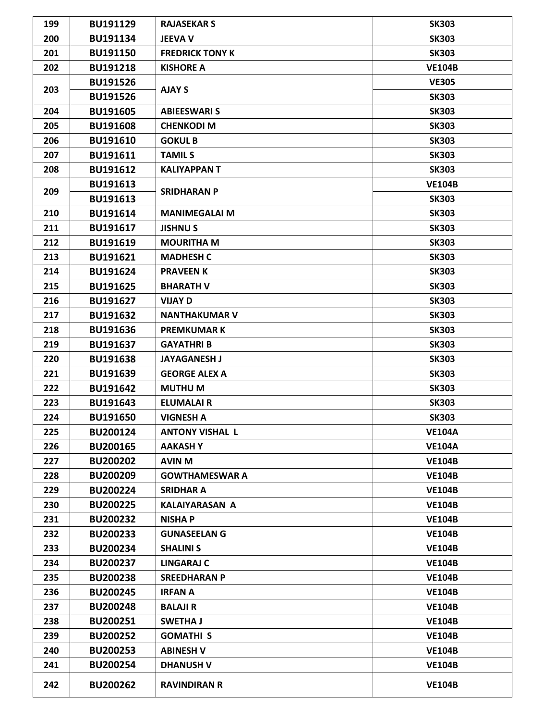| 199 | BU191129        | <b>RAJASEKAR S</b>     | <b>SK303</b>  |
|-----|-----------------|------------------------|---------------|
| 200 | BU191134        | <b>JEEVA V</b>         | <b>SK303</b>  |
| 201 | BU191150        | <b>FREDRICK TONY K</b> | <b>SK303</b>  |
| 202 | <b>BU191218</b> | <b>KISHORE A</b>       | <b>VE104B</b> |
|     | <b>BU191526</b> |                        | <b>VE305</b>  |
| 203 | <b>BU191526</b> | <b>AJAY S</b>          | <b>SK303</b>  |
| 204 | <b>BU191605</b> | <b>ABIEESWARI S</b>    | <b>SK303</b>  |
| 205 | <b>BU191608</b> | <b>CHENKODI M</b>      | <b>SK303</b>  |
| 206 | <b>BU191610</b> | <b>GOKUL B</b>         | <b>SK303</b>  |
| 207 | BU191611        | <b>TAMILS</b>          | <b>SK303</b>  |
| 208 | BU191612        | <b>KALIYAPPANT</b>     | <b>SK303</b>  |
|     | BU191613        |                        | <b>VE104B</b> |
| 209 | BU191613        | <b>SRIDHARAN P</b>     | <b>SK303</b>  |
| 210 | BU191614        | <b>MANIMEGALAI M</b>   | <b>SK303</b>  |
| 211 | BU191617        | <b>JISHNUS</b>         | <b>SK303</b>  |
| 212 | BU191619        | <b>MOURITHA M</b>      | <b>SK303</b>  |
| 213 | BU191621        | <b>MADHESH C</b>       | <b>SK303</b>  |
| 214 | BU191624        | <b>PRAVEEN K</b>       | <b>SK303</b>  |
| 215 | <b>BU191625</b> | <b>BHARATH V</b>       | <b>SK303</b>  |
| 216 | BU191627        | <b>VIJAY D</b>         | <b>SK303</b>  |
| 217 | BU191632        | <b>NANTHAKUMAR V</b>   | <b>SK303</b>  |
| 218 | BU191636        | <b>PREMKUMARK</b>      | <b>SK303</b>  |
| 219 | BU191637        | <b>GAYATHRI B</b>      | <b>SK303</b>  |
| 220 | <b>BU191638</b> | <b>JAYAGANESH J</b>    | <b>SK303</b>  |
| 221 | BU191639        | <b>GEORGE ALEX A</b>   | <b>SK303</b>  |
| 222 | BU191642        | <b>MUTHUM</b>          | <b>SK303</b>  |
| 223 | BU191643        | <b>ELUMALAIR</b>       | <b>SK303</b>  |
| 224 | <b>BU191650</b> | <b>VIGNESH A</b>       | <b>SK303</b>  |
| 225 | BU200124        | <b>ANTONY VISHAL L</b> | <b>VE104A</b> |
| 226 | <b>BU200165</b> | <b>AAKASHY</b>         | <b>VE104A</b> |
| 227 | <b>BU200202</b> | <b>AVIN M</b>          | <b>VE104B</b> |
| 228 | <b>BU200209</b> | <b>GOWTHAMESWAR A</b>  | <b>VE104B</b> |
| 229 | <b>BU200224</b> | <b>SRIDHAR A</b>       | <b>VE104B</b> |
| 230 | <b>BU200225</b> | <b>KALAIYARASAN A</b>  | <b>VE104B</b> |
| 231 | <b>BU200232</b> | <b>NISHA P</b>         | <b>VE104B</b> |
| 232 | <b>BU200233</b> | <b>GUNASEELAN G</b>    | <b>VE104B</b> |
| 233 | BU200234        | <b>SHALINI S</b>       | <b>VE104B</b> |
| 234 | <b>BU200237</b> | <b>LINGARAJ C</b>      | <b>VE104B</b> |
| 235 | <b>BU200238</b> | <b>SREEDHARAN P</b>    | <b>VE104B</b> |
| 236 | <b>BU200245</b> | <b>IRFAN A</b>         | <b>VE104B</b> |
| 237 | <b>BU200248</b> | <b>BALAJI R</b>        | <b>VE104B</b> |
| 238 | BU200251        | <b>SWETHA J</b>        | <b>VE104B</b> |
| 239 | <b>BU200252</b> | <b>GOMATHI S</b>       | <b>VE104B</b> |
| 240 | <b>BU200253</b> | <b>ABINESH V</b>       | <b>VE104B</b> |
| 241 | <b>BU200254</b> | <b>DHANUSH V</b>       | <b>VE104B</b> |
| 242 | <b>BU200262</b> | <b>RAVINDIRAN R</b>    | <b>VE104B</b> |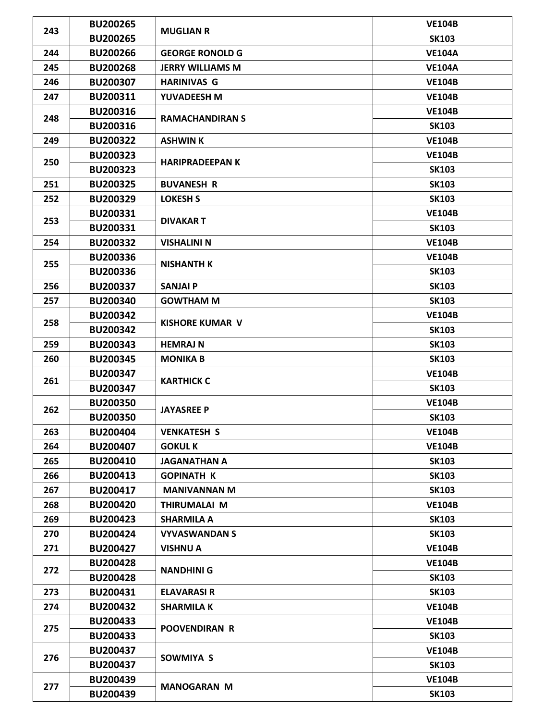| 243 | <b>BU200265</b> |                         | <b>VE104B</b> |
|-----|-----------------|-------------------------|---------------|
|     | <b>BU200265</b> | <b>MUGLIAN R</b>        | <b>SK103</b>  |
| 244 | <b>BU200266</b> | <b>GEORGE RONOLD G</b>  | <b>VE104A</b> |
| 245 | <b>BU200268</b> | <b>JERRY WILLIAMS M</b> | <b>VE104A</b> |
| 246 | <b>BU200307</b> | <b>HARINIVAS G</b>      | <b>VE104B</b> |
| 247 | BU200311        | YUVADEESH M             | <b>VE104B</b> |
|     | <b>BU200316</b> |                         | <b>VE104B</b> |
| 248 | <b>BU200316</b> | <b>RAMACHANDIRAN S</b>  | <b>SK103</b>  |
| 249 | <b>BU200322</b> | <b>ASHWIN K</b>         | <b>VE104B</b> |
|     | <b>BU200323</b> |                         | <b>VE104B</b> |
| 250 | <b>BU200323</b> | <b>HARIPRADEEPAN K</b>  | <b>SK103</b>  |
| 251 | <b>BU200325</b> | <b>BUVANESH R</b>       | <b>SK103</b>  |
| 252 | <b>BU200329</b> | <b>LOKESH S</b>         | <b>SK103</b>  |
|     | BU200331        |                         | <b>VE104B</b> |
| 253 | BU200331        | <b>DIVAKART</b>         | <b>SK103</b>  |
| 254 | <b>BU200332</b> | <b>VISHALINI N</b>      | <b>VE104B</b> |
|     | <b>BU200336</b> |                         | <b>VE104B</b> |
| 255 | <b>BU200336</b> | <b>NISHANTH K</b>       | <b>SK103</b>  |
| 256 | <b>BU200337</b> | <b>SANJAI P</b>         | <b>SK103</b>  |
| 257 | <b>BU200340</b> | <b>GOWTHAM M</b>        | <b>SK103</b>  |
|     | <b>BU200342</b> |                         | <b>VE104B</b> |
| 258 | <b>BU200342</b> | <b>KISHORE KUMAR V</b>  | <b>SK103</b>  |
| 259 | <b>BU200343</b> | <b>HEMRAJ N</b>         | <b>SK103</b>  |
| 260 | <b>BU200345</b> | <b>MONIKA B</b>         | <b>SK103</b>  |
| 261 | <b>BU200347</b> |                         | <b>VE104B</b> |
|     | <b>BU200347</b> | <b>KARTHICK C</b>       | <b>SK103</b>  |
|     | <b>BU200350</b> | <b>JAYASREE P</b>       | <b>VE104B</b> |
| 262 | <b>BU200350</b> |                         | <b>SK103</b>  |
| 263 | <b>BU200404</b> | <b>VENKATESH S</b>      | <b>VE104B</b> |
| 264 | <b>BU200407</b> | <b>GOKUL K</b>          | <b>VE104B</b> |
| 265 | BU200410        | <b>JAGANATHAN A</b>     | <b>SK103</b>  |
| 266 | <b>BU200413</b> | <b>GOPINATH K</b>       | <b>SK103</b>  |
| 267 | BU200417        | <b>MANIVANNAN M</b>     | <b>SK103</b>  |
| 268 | <b>BU200420</b> | THIRUMALAI M            | <b>VE104B</b> |
| 269 | <b>BU200423</b> | <b>SHARMILA A</b>       | <b>SK103</b>  |
| 270 | <b>BU200424</b> | <b>VYVASWANDAN S</b>    | <b>SK103</b>  |
| 271 | <b>BU200427</b> | <b>VISHNU A</b>         | <b>VE104B</b> |
|     | <b>BU200428</b> |                         | <b>VE104B</b> |
| 272 | <b>BU200428</b> | <b>NANDHINI G</b>       | <b>SK103</b>  |
| 273 | BU200431        | <b>ELAVARASI R</b>      | <b>SK103</b>  |
| 274 | <b>BU200432</b> | <b>SHARMILA K</b>       | <b>VE104B</b> |
|     | <b>BU200433</b> |                         | <b>VE104B</b> |
| 275 | <b>BU200433</b> | <b>POOVENDIRAN R</b>    | <b>SK103</b>  |
|     | <b>BU200437</b> |                         | <b>VE104B</b> |
| 276 | <b>BU200437</b> | SOWMIYA S               | <b>SK103</b>  |
|     | <b>BU200439</b> |                         | <b>VE104B</b> |
| 277 | <b>BU200439</b> | <b>MANOGARAN M</b>      | <b>SK103</b>  |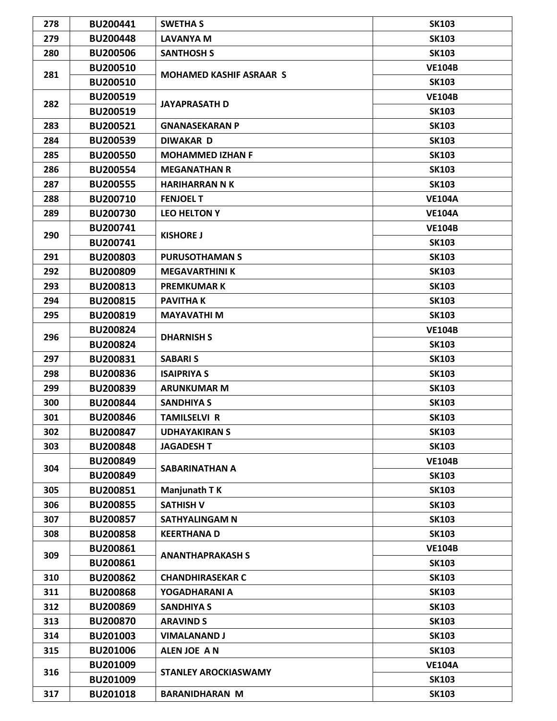| 278 | BU200441        | <b>SWETHA S</b>                | <b>SK103</b>  |
|-----|-----------------|--------------------------------|---------------|
| 279 | <b>BU200448</b> | LAVANYA M                      | <b>SK103</b>  |
| 280 | <b>BU200506</b> | <b>SANTHOSH S</b>              | <b>SK103</b>  |
|     | <b>BU200510</b> |                                | <b>VE104B</b> |
| 281 | <b>BU200510</b> | <b>MOHAMED KASHIF ASRAAR S</b> | <b>SK103</b>  |
|     | <b>BU200519</b> |                                | <b>VE104B</b> |
| 282 | <b>BU200519</b> | <b>JAYAPRASATH D</b>           | <b>SK103</b>  |
| 283 | BU200521        | <b>GNANASEKARAN P</b>          | <b>SK103</b>  |
| 284 | <b>BU200539</b> | <b>DIWAKAR D</b>               | <b>SK103</b>  |
| 285 | <b>BU200550</b> | <b>MOHAMMED IZHAN F</b>        | <b>SK103</b>  |
| 286 | <b>BU200554</b> | <b>MEGANATHAN R</b>            | <b>SK103</b>  |
| 287 | <b>BU200555</b> | <b>HARIHARRAN N K</b>          | <b>SK103</b>  |
| 288 | <b>BU200710</b> | <b>FENJOEL T</b>               | <b>VE104A</b> |
| 289 | <b>BU200730</b> | <b>LEO HELTON Y</b>            | <b>VE104A</b> |
|     | <b>BU200741</b> |                                | <b>VE104B</b> |
| 290 | BU200741        | <b>KISHORE J</b>               | <b>SK103</b>  |
| 291 | <b>BU200803</b> | <b>PURUSOTHAMAN S</b>          | <b>SK103</b>  |
| 292 | <b>BU200809</b> | <b>MEGAVARTHINI K</b>          | <b>SK103</b>  |
| 293 | BU200813        | <b>PREMKUMARK</b>              | <b>SK103</b>  |
| 294 | <b>BU200815</b> | <b>PAVITHAK</b>                | <b>SK103</b>  |
| 295 | <b>BU200819</b> | <b>MAYAVATHI M</b>             | <b>SK103</b>  |
|     | <b>BU200824</b> |                                | <b>VE104B</b> |
| 296 | <b>BU200824</b> | <b>DHARNISH S</b>              | <b>SK103</b>  |
| 297 | <b>BU200831</b> | <b>SABARIS</b>                 | <b>SK103</b>  |
| 298 | <b>BU200836</b> | <b>ISAIPRIYA S</b>             | <b>SK103</b>  |
| 299 | <b>BU200839</b> | <b>ARUNKUMAR M</b>             | <b>SK103</b>  |
| 300 | <b>BU200844</b> | <b>SANDHIYA S</b>              | <b>SK103</b>  |
| 301 | <b>BU200846</b> | <b>TAMILSELVI R</b>            | <b>SK103</b>  |
| 302 | <b>BU200847</b> | <b>UDHAYAKIRAN S</b>           | <b>SK103</b>  |
| 303 | <b>BU200848</b> | <b>JAGADESH T</b>              | <b>SK103</b>  |
|     | <b>BU200849</b> |                                | <b>VE104B</b> |
| 304 | <b>BU200849</b> | SABARINATHAN A                 | <b>SK103</b>  |
| 305 | BU200851        | Manjunath T K                  | <b>SK103</b>  |
| 306 | <b>BU200855</b> | <b>SATHISH V</b>               | <b>SK103</b>  |
| 307 | <b>BU200857</b> | SATHYALINGAM N                 | <b>SK103</b>  |
| 308 | <b>BU200858</b> | <b>KEERTHANAD</b>              | <b>SK103</b>  |
|     | BU200861        |                                | <b>VE104B</b> |
| 309 | <b>BU200861</b> | <b>ANANTHAPRAKASH S</b>        | <b>SK103</b>  |
| 310 | <b>BU200862</b> | <b>CHANDHIRASEKAR C</b>        | <b>SK103</b>  |
| 311 | <b>BU200868</b> | YOGADHARANI A                  | <b>SK103</b>  |
| 312 | <b>BU200869</b> | <b>SANDHIYA S</b>              | <b>SK103</b>  |
| 313 | <b>BU200870</b> | <b>ARAVIND S</b>               | <b>SK103</b>  |
| 314 | <b>BU201003</b> | <b>VIMALANAND J</b>            | <b>SK103</b>  |
| 315 | <b>BU201006</b> | ALEN JOE AN                    | <b>SK103</b>  |
|     | BU201009        |                                | <b>VE104A</b> |
| 316 | <b>BU201009</b> | <b>STANLEY AROCKIASWAMY</b>    | <b>SK103</b>  |
|     |                 |                                |               |
| 317 | <b>BU201018</b> | <b>BARANIDHARAN M</b>          | <b>SK103</b>  |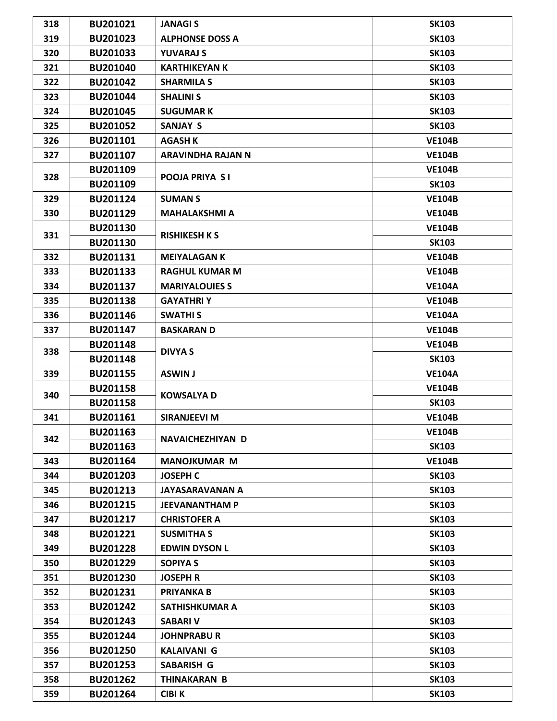| 318 | BU201021        | <b>JANAGIS</b>           | <b>SK103</b>  |
|-----|-----------------|--------------------------|---------------|
| 319 | <b>BU201023</b> | <b>ALPHONSE DOSS A</b>   | <b>SK103</b>  |
| 320 | <b>BU201033</b> | <b>YUVARAJ S</b>         | <b>SK103</b>  |
| 321 | BU201040        | <b>KARTHIKEYAN K</b>     | <b>SK103</b>  |
| 322 | <b>BU201042</b> | <b>SHARMILA S</b>        | <b>SK103</b>  |
| 323 | <b>BU201044</b> | <b>SHALINI S</b>         | <b>SK103</b>  |
| 324 | <b>BU201045</b> | <b>SUGUMARK</b>          | <b>SK103</b>  |
| 325 | <b>BU201052</b> | <b>SANJAY S</b>          | <b>SK103</b>  |
| 326 | BU201101        | <b>AGASH K</b>           | <b>VE104B</b> |
| 327 | BU201107        | <b>ARAVINDHA RAJAN N</b> | <b>VE104B</b> |
|     | BU201109        |                          | <b>VE104B</b> |
| 328 | BU201109        | <b>POOJA PRIYA SI</b>    | <b>SK103</b>  |
| 329 | BU201124        | <b>SUMAN S</b>           | <b>VE104B</b> |
| 330 | BU201129        | <b>MAHALAKSHMI A</b>     | <b>VE104B</b> |
|     | BU201130        |                          | <b>VE104B</b> |
| 331 | <b>BU201130</b> | <b>RISHIKESH K S</b>     | <b>SK103</b>  |
| 332 | BU201131        | <b>MEIYALAGAN K</b>      | <b>VE104B</b> |
| 333 | BU201133        | <b>RAGHUL KUMAR M</b>    | <b>VE104B</b> |
| 334 | BU201137        | <b>MARIYALOUIES S</b>    | <b>VE104A</b> |
| 335 | <b>BU201138</b> | <b>GAYATHRIY</b>         | <b>VE104B</b> |
| 336 | <b>BU201146</b> | <b>SWATHIS</b>           | <b>VE104A</b> |
| 337 | BU201147        | <b>BASKARAN D</b>        | <b>VE104B</b> |
|     | <b>BU201148</b> | <b>DIVYA S</b>           | <b>VE104B</b> |
| 338 | <b>BU201148</b> |                          | <b>SK103</b>  |
| 339 | BU201155        | <b>ASWIN J</b>           | <b>VE104A</b> |
|     | <b>BU201158</b> |                          | <b>VE104B</b> |
| 340 | <b>BU201158</b> | <b>KOWSALYA D</b>        | <b>SK103</b>  |
| 341 | BU201161        | SIRANJEEVI M             | <b>VE104B</b> |
|     | <b>BU201163</b> |                          | <b>VE104B</b> |
| 342 | <b>BU201163</b> | NAVAICHEZHIYAN D         | <b>SK103</b>  |
| 343 | <b>BU201164</b> | <b>MANOJKUMAR M</b>      | <b>VE104B</b> |
| 344 | <b>BU201203</b> | <b>JOSEPH C</b>          | <b>SK103</b>  |
| 345 | BU201213        | <b>JAYASARAVANAN A</b>   | <b>SK103</b>  |
| 346 | <b>BU201215</b> | <b>JEEVANANTHAM P</b>    | <b>SK103</b>  |
| 347 | BU201217        | <b>CHRISTOFER A</b>      | <b>SK103</b>  |
| 348 | BU201221        | <b>SUSMITHA S</b>        | <b>SK103</b>  |
| 349 | <b>BU201228</b> | <b>EDWIN DYSON L</b>     | <b>SK103</b>  |
| 350 | <b>BU201229</b> | <b>SOPIYA S</b>          | <b>SK103</b>  |
| 351 | <b>BU201230</b> | <b>JOSEPH R</b>          | <b>SK103</b>  |
| 352 | BU201231        | <b>PRIYANKA B</b>        | <b>SK103</b>  |
| 353 | <b>BU201242</b> | <b>SATHISHKUMAR A</b>    | <b>SK103</b>  |
| 354 | <b>BU201243</b> | <b>SABARI V</b>          | <b>SK103</b>  |
| 355 | <b>BU201244</b> | <b>JOHNPRABUR</b>        | <b>SK103</b>  |
| 356 | <b>BU201250</b> | <b>KALAIVANI G</b>       | <b>SK103</b>  |
| 357 | <b>BU201253</b> | <b>SABARISH G</b>        | <b>SK103</b>  |
| 358 | <b>BU201262</b> | <b>THINAKARAN B</b>      | <b>SK103</b>  |
| 359 | <b>BU201264</b> | <b>CIBI K</b>            | <b>SK103</b>  |